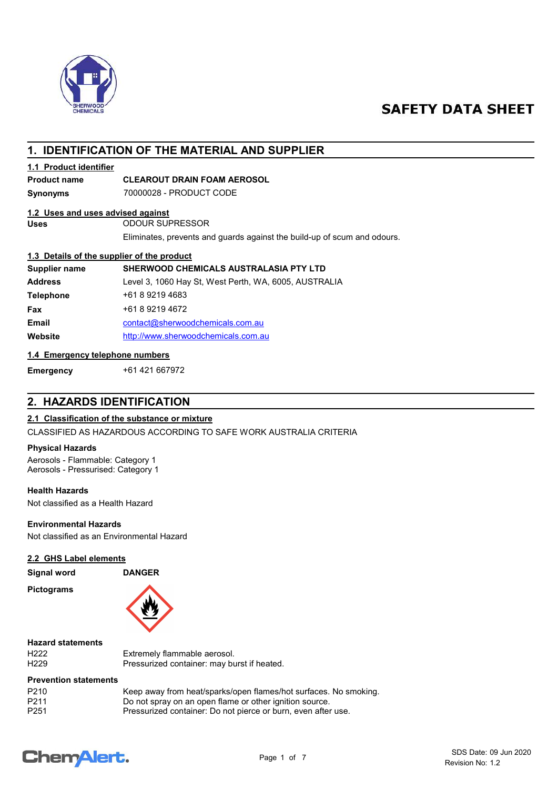

# **SAFETY DATA SHEET**

# 1. IDENTIFICATION OF THE MATERIAL AND SUPPLIER

### 1.1 Product identifier

### Product name CLEAROUT DRAIN FOAM AEROSOL

Synonyms 70000028 - PRODUCT CODE

### 1.2 Uses and uses advised against

Uses ODOUR SUPRESSOR

Eliminates, prevents and guards against the build-up of scum and odours.

### 1.3 Details of the supplier of the product

| Supplier name    | <b>SHERWOOD CHEMICALS AUSTRALASIA PTY LTD</b>         |
|------------------|-------------------------------------------------------|
| <b>Address</b>   | Level 3, 1060 Hay St, West Perth, WA, 6005, AUSTRALIA |
| <b>Telephone</b> | +61 8 9219 4683                                       |
| Fax              | +61 8 9219 4672                                       |
| <b>Email</b>     | contact@sherwoodchemicals.com.au                      |
| Website          | http://www.sherwoodchemicals.com.au                   |

### 1.4 Emergency telephone numbers

Emergency +61 421 667972

# 2. HAZARDS IDENTIFICATION

### 2.1 Classification of the substance or mixture

CLASSIFIED AS HAZARDOUS ACCORDING TO SAFE WORK AUSTRALIA CRITERIA

### Physical Hazards

Aerosols - Flammable: Category 1 Aerosols - Pressurised: Category 1

### Health Hazards

Not classified as a Health Hazard

### Environmental Hazards

Not classified as an Environmental Hazard

### 2.2 GHS Label elements

Signal word DANGER

Pictograms



# Hazard statements

H222 Extremely flammable aerosol. Pressurized container: may burst if heated.

### Prevention statements

| P <sub>210</sub> | Keep away from heat/sparks/open flames/hot surfaces. No smoking. |
|------------------|------------------------------------------------------------------|
| P211             | Do not spray on an open flame or other ignition source.          |
| P <sub>251</sub> | Pressurized container: Do not pierce or burn, even after use.    |

# **ChemAlert.**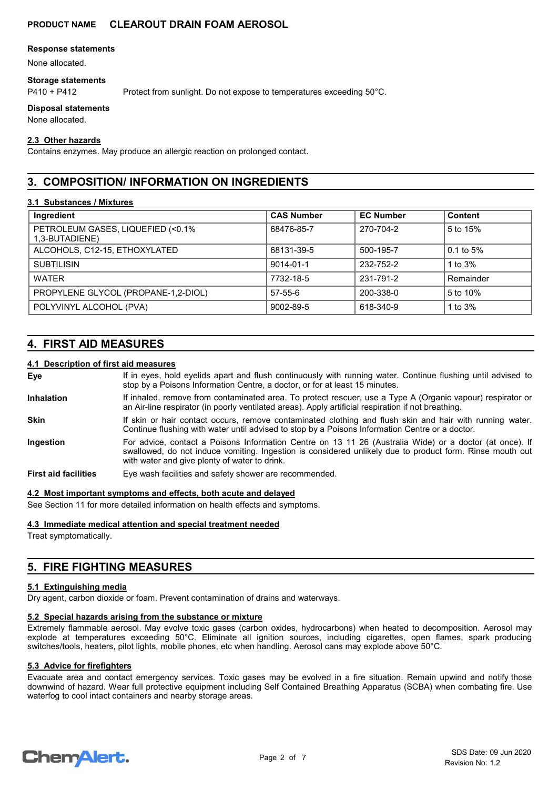### Response statements

None allocated.

### Storage statements

P410 + P412 Protect from sunlight. Do not expose to temperatures exceeding 50°C.

### Disposal statements

None allocated.

### 2.3 Other hazards

Contains enzymes. May produce an allergic reaction on prolonged contact.

# 3. COMPOSITION/ INFORMATION ON INGREDIENTS

### 3.1 Substances / Mixtures

| Ingredient                                           | <b>CAS Number</b> | <b>EC Number</b> | Content               |
|------------------------------------------------------|-------------------|------------------|-----------------------|
| PETROLEUM GASES, LIQUEFIED (<0.1%)<br>1,3-BUTADIENE) | 68476-85-7        | 270-704-2        | 5 to 15%              |
| ALCOHOLS, C12-15, ETHOXYLATED                        | 68131-39-5        | 500-195-7        | $0.1 \text{ to } 5\%$ |
| <b>SUBTILISIN</b>                                    | 9014-01-1         | 232-752-2        | 1 to $3\%$            |
| <b>WATER</b>                                         | 7732-18-5         | 231-791-2        | Remainder             |
| PROPYLENE GLYCOL (PROPANE-1,2-DIOL)                  | $57 - 55 - 6$     | 200-338-0        | 5 to 10%              |
| POLYVINYL ALCOHOL (PVA)                              | 9002-89-5         | 618-340-9        | 1 to 3%               |

# 4. FIRST AID MEASURES

### 4.1 Description of first aid measures

| Eye                         | If in eyes, hold eyelids apart and flush continuously with running water. Continue flushing until advised to<br>stop by a Poisons Information Centre, a doctor, or for at least 15 minutes.                                                                          |
|-----------------------------|----------------------------------------------------------------------------------------------------------------------------------------------------------------------------------------------------------------------------------------------------------------------|
| <b>Inhalation</b>           | If inhaled, remove from contaminated area. To protect rescuer, use a Type A (Organic vapour) respirator or<br>an Air-line respirator (in poorly ventilated areas). Apply artificial respiration if not breathing.                                                    |
| <b>Skin</b>                 | If skin or hair contact occurs, remove contaminated clothing and flush skin and hair with running water.<br>Continue flushing with water until advised to stop by a Poisons Information Centre or a doctor.                                                          |
| <b>Ingestion</b>            | For advice, contact a Poisons Information Centre on 13 11 26 (Australia Wide) or a doctor (at once). If<br>swallowed, do not induce vomiting. Ingestion is considered unlikely due to product form. Rinse mouth out<br>with water and give plenty of water to drink. |
| <b>First aid facilities</b> | Eye wash facilities and safety shower are recommended.                                                                                                                                                                                                               |

### 4.2 Most important symptoms and effects, both acute and delayed

See Section 11 for more detailed information on health effects and symptoms.

### 4.3 Immediate medical attention and special treatment needed

Treat symptomatically.

# 5. FIRE FIGHTING MEASURES

### 5.1 Extinguishing media

Dry agent, carbon dioxide or foam. Prevent contamination of drains and waterways.

### 5.2 Special hazards arising from the substance or mixture

Extremely flammable aerosol. May evolve toxic gases (carbon oxides, hydrocarbons) when heated to decomposition. Aerosol may explode at temperatures exceeding 50°C. Eliminate all ignition sources, including cigarettes, open flames, spark producing switches/tools, heaters, pilot lights, mobile phones, etc when handling. Aerosol cans may explode above 50°C.

### 5.3 Advice for firefighters

Evacuate area and contact emergency services. Toxic gases may be evolved in a fire situation. Remain upwind and notify those downwind of hazard. Wear full protective equipment including Self Contained Breathing Apparatus (SCBA) when combating fire. Use waterfog to cool intact containers and nearby storage areas.

# **ChemAlert.**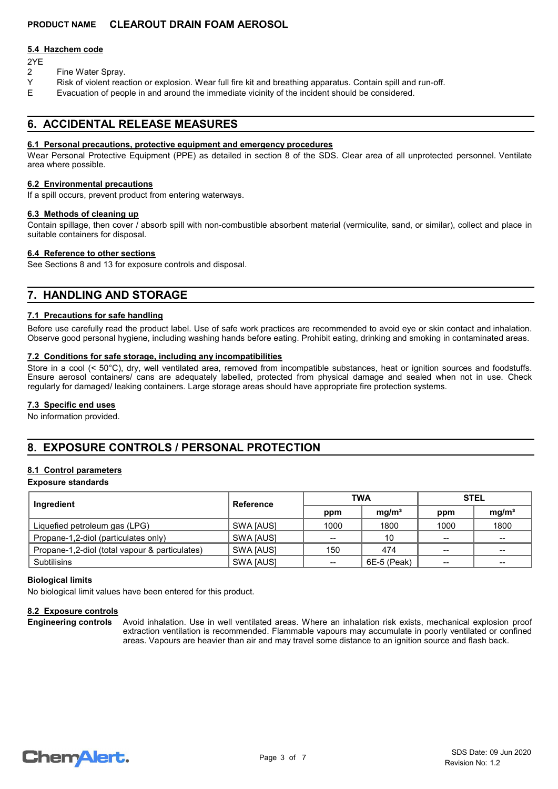### 5.4 Hazchem code

- 2YE
- 2 Fine Water Spray.<br>Y Risk of violent read
- Risk of violent reaction or explosion. Wear full fire kit and breathing apparatus. Contain spill and run-off.
- E Evacuation of people in and around the immediate vicinity of the incident should be considered.

# 6. ACCIDENTAL RELEASE MEASURES

### 6.1 Personal precautions, protective equipment and emergency procedures

Wear Personal Protective Equipment (PPE) as detailed in section 8 of the SDS. Clear area of all unprotected personnel. Ventilate area where possible.

### 6.2 Environmental precautions

If a spill occurs, prevent product from entering waterways.

### 6.3 Methods of cleaning up

Contain spillage, then cover / absorb spill with non-combustible absorbent material (vermiculite, sand, or similar), collect and place in suitable containers for disposal.

### 6.4 Reference to other sections

See Sections 8 and 13 for exposure controls and disposal.

# 7. HANDLING AND STORAGE

### 7.1 Precautions for safe handling

Before use carefully read the product label. Use of safe work practices are recommended to avoid eye or skin contact and inhalation. Observe good personal hygiene, including washing hands before eating. Prohibit eating, drinking and smoking in contaminated areas.

### 7.2 Conditions for safe storage, including any incompatibilities

Store in a cool (< 50°C), dry, well ventilated area, removed from incompatible substances, heat or ignition sources and foodstuffs. Ensure aerosol containers/ cans are adequately labelled, protected from physical damage and sealed when not in use. Check regularly for damaged/ leaking containers. Large storage areas should have appropriate fire protection systems.

### 7.3 Specific end uses

No information provided.

# 8. EXPOSURE CONTROLS / PERSONAL PROTECTION

### 8.1 Control parameters

### Exposure standards

| Ingredient                                     | Reference | <b>TWA</b> |                   | <b>STEL</b>     |                   |
|------------------------------------------------|-----------|------------|-------------------|-----------------|-------------------|
|                                                |           | ppm        | mq/m <sup>3</sup> | ppm             | mg/m <sup>3</sup> |
| Liquefied petroleum gas (LPG)                  | SWA [AUS] | 1000       | 1800              | 1000            | 1800              |
| Propane-1,2-diol (particulates only)           | SWA [AUS] | --         | 10                | $-$             | $\qquad \qquad$   |
| Propane-1,2-diol (total vapour & particulates) | SWA [AUS] | 150        | 474               | $\qquad \qquad$ | $\sim$            |
| <b>Subtilisins</b>                             | SWA [AUS] | $- -$      | 6E-5 (Peak)       | $- -$           | $- -$             |

### Biological limits

No biological limit values have been entered for this product.

### 8.2 Exposure controls

Avoid inhalation. Use in well ventilated areas. Where an inhalation risk exists, mechanical explosion proof extraction ventilation is recommended. Flammable vapours may accumulate in poorly ventilated or confined areas. Vapours are heavier than air and may travel some distance to an ignition source and flash back. Engineering controls

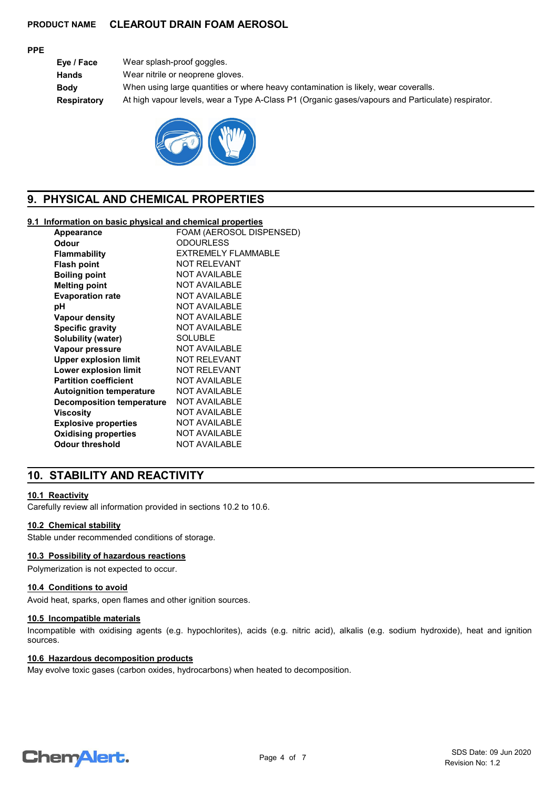### PPE

Eye / Face Wear splash-proof goggles. Hands Wear nitrile or neoprene gloves. Body When using large quantities or where heavy contamination is likely, wear coveralls. Respiratory At high vapour levels, wear a Type A-Class P1 (Organic gases/vapours and Particulate) respirator.



# 9. PHYSICAL AND CHEMICAL PROPERTIES

### 9.1 Information on basic physical and chemical properties

| Appearance                       | FOAM (AEROSOL DISPENSED) |
|----------------------------------|--------------------------|
| Odour                            | <b>ODOURLESS</b>         |
| Flammability                     | EXTREMELY FLAMMABLE      |
| <b>Flash point</b>               | NOT REI FVANT            |
| <b>Boiling point</b>             | NOT AVAILABLE            |
| <b>Melting point</b>             | <b>NOT AVAILABLE</b>     |
| <b>Evaporation rate</b>          | <b>NOT AVAILABLE</b>     |
| рH                               | NOT AVAILABLE            |
| Vapour density                   | NOT AVAILABLE            |
| <b>Specific gravity</b>          | <b>NOT AVAILABLE</b>     |
| Solubility (water)               | <b>SOLUBLE</b>           |
| Vapour pressure                  | <b>NOT AVAILABLE</b>     |
| <b>Upper explosion limit</b>     | NOT RELEVANT             |
| <b>Lower explosion limit</b>     | <b>NOT RELEVANT</b>      |
| <b>Partition coefficient</b>     | <b>NOT AVAILABLE</b>     |
| <b>Autoignition temperature</b>  | <b>NOT AVAILABLE</b>     |
| <b>Decomposition temperature</b> | NOT AVAILABLE            |
| Viscositv                        | <b>NOT AVAILABLE</b>     |
| <b>Explosive properties</b>      | <b>NOT AVAILABLE</b>     |
| <b>Oxidising properties</b>      | <b>NOT AVAILABLE</b>     |
| Odour threshold                  | <b>NOT AVAILABLE</b>     |
|                                  |                          |

# 10. STABILITY AND REACTIVITY

### 10.1 Reactivity

Carefully review all information provided in sections 10.2 to 10.6.

### 10.2 Chemical stability

Stable under recommended conditions of storage.

## 10.3 Possibility of hazardous reactions

Polymerization is not expected to occur.

### 10.4 Conditions to avoid

Avoid heat, sparks, open flames and other ignition sources.

### 10.5 Incompatible materials

Incompatible with oxidising agents (e.g. hypochlorites), acids (e.g. nitric acid), alkalis (e.g. sodium hydroxide), heat and ignition sources.

### 10.6 Hazardous decomposition products

May evolve toxic gases (carbon oxides, hydrocarbons) when heated to decomposition.

# **ChemAlert.**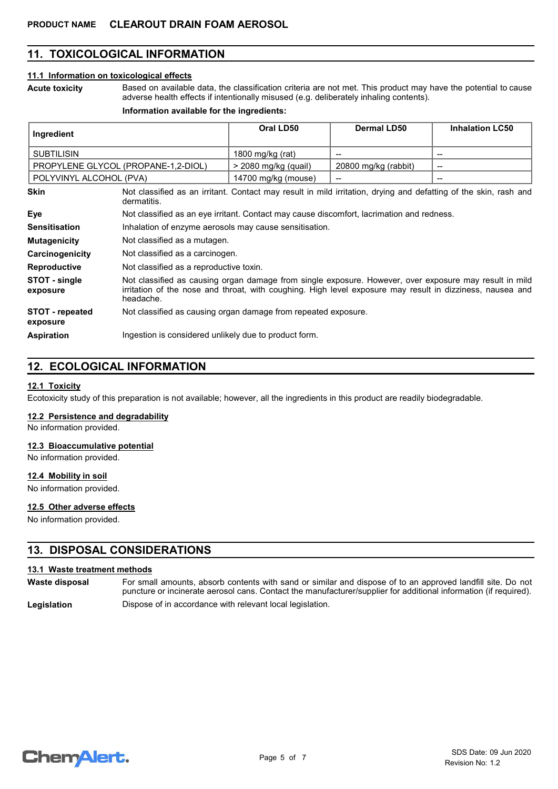# 11. TOXICOLOGICAL INFORMATION

### 11.1 Information on toxicological effects

Acute toxicity

Based on available data, the classification criteria are not met. This product may have the potential to cause adverse health effects if intentionally misused (e.g. deliberately inhaling contents).

### Information available for the ingredients:

| Ingredient                         |                                                                                                                                                                                                                                  | Oral LD50            | <b>Dermal LD50</b>   | <b>Inhalation LC50</b> |
|------------------------------------|----------------------------------------------------------------------------------------------------------------------------------------------------------------------------------------------------------------------------------|----------------------|----------------------|------------------------|
| <b>SUBTILISIN</b>                  |                                                                                                                                                                                                                                  | 1800 mg/kg (rat)     |                      | --                     |
|                                    | PROPYLENE GLYCOL (PROPANE-1,2-DIOL)                                                                                                                                                                                              | > 2080 mg/kg (quail) | 20800 mg/kg (rabbit) | --                     |
| POLYVINYL ALCOHOL (PVA)            |                                                                                                                                                                                                                                  | 14700 mg/kg (mouse)  |                      |                        |
| <b>Skin</b>                        | Not classified as an irritant. Contact may result in mild irritation, drying and defatting of the skin, rash and<br>dermatitis.                                                                                                  |                      |                      |                        |
| Eye                                | Not classified as an eye irritant. Contact may cause discomfort, lacrimation and redness.                                                                                                                                        |                      |                      |                        |
| <b>Sensitisation</b>               | Inhalation of enzyme aerosols may cause sensitisation.                                                                                                                                                                           |                      |                      |                        |
| <b>Mutagenicity</b>                | Not classified as a mutagen.                                                                                                                                                                                                     |                      |                      |                        |
| Carcinogenicity                    | Not classified as a carcinogen.                                                                                                                                                                                                  |                      |                      |                        |
| <b>Reproductive</b>                | Not classified as a reproductive toxin.                                                                                                                                                                                          |                      |                      |                        |
| STOT - single<br>exposure          | Not classified as causing organ damage from single exposure. However, over exposure may result in mild<br>irritation of the nose and throat, with coughing. High level exposure may result in dizziness, nausea and<br>headache. |                      |                      |                        |
| <b>STOT</b> - repeated<br>exposure | Not classified as causing organ damage from repeated exposure.                                                                                                                                                                   |                      |                      |                        |
| <b>Aspiration</b>                  | Ingestion is considered unlikely due to product form.                                                                                                                                                                            |                      |                      |                        |

# 12. ECOLOGICAL INFORMATION

### 12.1 Toxicity

Ecotoxicity study of this preparation is not available; however, all the ingredients in this product are readily biodegradable.

### 12.2 Persistence and degradability

No information provided.

### 12.3 Bioaccumulative potential

No information provided.

### 12.4 Mobility in soil

No information provided.

### 12.5 Other adverse effects

No information provided.

### 13. DISPOSAL CONSIDERATIONS

### 13.1 Waste treatment methods

For small amounts, absorb contents with sand or similar and dispose of to an approved landfill site. Do not puncture or incinerate aerosol cans. Contact the manufacturer/supplier for additional information (if required). Waste disposal Legislation **Dispose of in accordance with relevant local legislation.** 

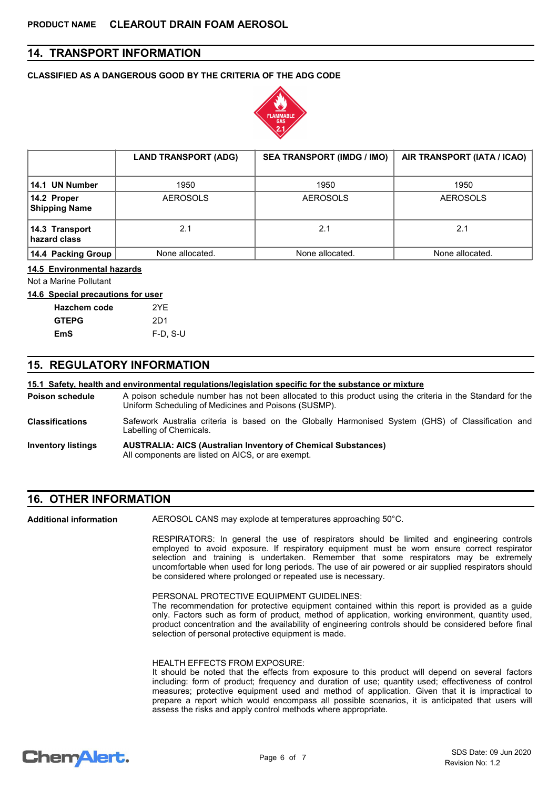# 14. TRANSPORT INFORMATION

### CLASSIFIED AS A DANGEROUS GOOD BY THE CRITERIA OF THE ADG CODE



|                                     | <b>LAND TRANSPORT (ADG)</b> | <b>SEA TRANSPORT (IMDG / IMO)</b> | AIR TRANSPORT (IATA / ICAO) |
|-------------------------------------|-----------------------------|-----------------------------------|-----------------------------|
| 14.1 UN Number                      | 1950                        | 1950                              | 1950                        |
| 14.2 Proper<br><b>Shipping Name</b> | <b>AEROSOLS</b>             | <b>AEROSOLS</b>                   | <b>AEROSOLS</b>             |
| 14.3 Transport<br>hazard class      | 2.1                         | 2.1                               | 2.1                         |
| 14.4 Packing Group                  | None allocated.             | None allocated.                   | None allocated.             |

### 14.5 Environmental hazards

Not a Marine Pollutant

#### 14.6 Special precautions for user

| Hazchem code | 2YF        |
|--------------|------------|
| <b>GTEPG</b> | 2D1        |
| EmS          | $F-D, S-U$ |

# 15. REGULATORY INFORMATION

### 15.1 Safety, health and environmental regulations/legislation specific for the substance or mixture

A poison schedule number has not been allocated to this product using the criteria in the Standard for the Uniform Scheduling of Medicines and Poisons (SUSMP). Poison schedule

- Safework Australia criteria is based on the Globally Harmonised System (GHS) of Classification and Labelling of Chemicals. Classifications
- AUSTRALIA: AICS (Australian Inventory of Chemical Substances) All components are listed on AICS, or are exempt. Inventory listings

# 16. OTHER INFORMATION

Additional information

AEROSOL CANS may explode at temperatures approaching 50°C.

RESPIRATORS: In general the use of respirators should be limited and engineering controls employed to avoid exposure. If respiratory equipment must be worn ensure correct respirator selection and training is undertaken. Remember that some respirators may be extremely uncomfortable when used for long periods. The use of air powered or air supplied respirators should be considered where prolonged or repeated use is necessary.

PERSONAL PROTECTIVE EQUIPMENT GUIDELINES:

The recommendation for protective equipment contained within this report is provided as a guide only. Factors such as form of product, method of application, working environment, quantity used, product concentration and the availability of engineering controls should be considered before final selection of personal protective equipment is made.

### HEALTH EFFECTS FROM EXPOSURE:

It should be noted that the effects from exposure to this product will depend on several factors including: form of product; frequency and duration of use; quantity used; effectiveness of control measures; protective equipment used and method of application. Given that it is impractical to prepare a report which would encompass all possible scenarios, it is anticipated that users will assess the risks and apply control methods where appropriate.